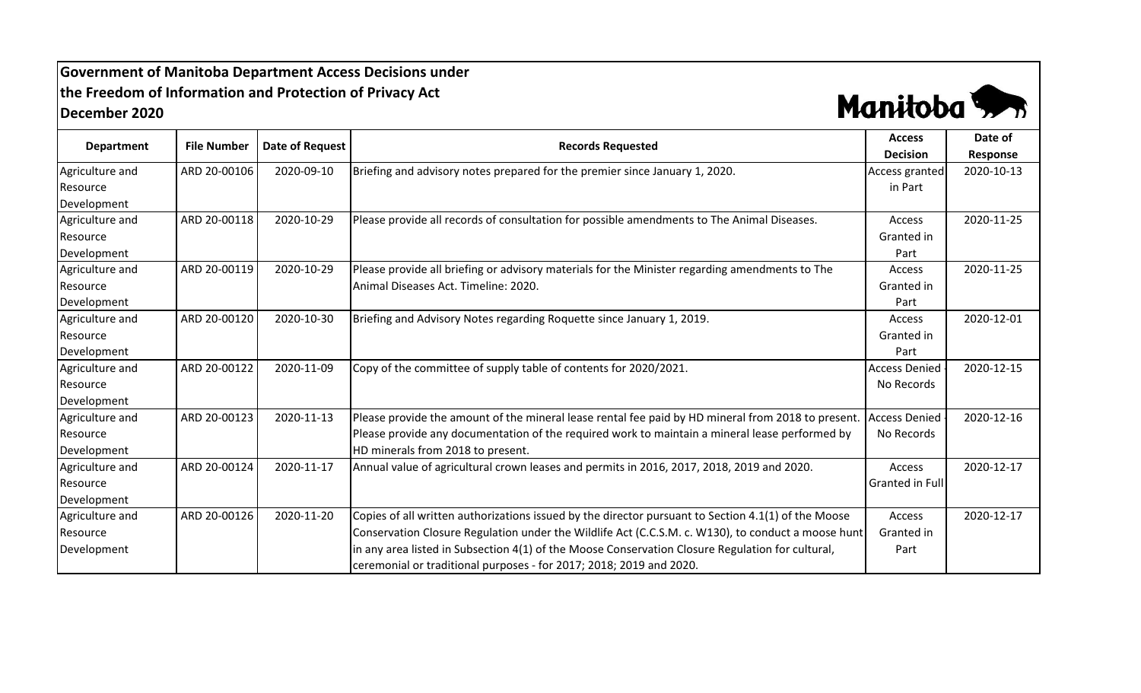## **Government of Manitoba Department Access Decisions under the Freedom of Information and Protection of Privacy Act December 2020**



| <b>Department</b> |                    |                 | <b>Records Requested</b>                                                                            | <b>Access</b>        | Date of    |
|-------------------|--------------------|-----------------|-----------------------------------------------------------------------------------------------------|----------------------|------------|
|                   | <b>File Number</b> | Date of Request |                                                                                                     | <b>Decision</b>      | Response   |
| Agriculture and   | ARD 20-00106       | 2020-09-10      | Briefing and advisory notes prepared for the premier since January 1, 2020.                         | Access granted       | 2020-10-13 |
| Resource          |                    |                 |                                                                                                     | in Part              |            |
| Development       |                    |                 |                                                                                                     |                      |            |
| Agriculture and   | ARD 20-00118       | 2020-10-29      | Please provide all records of consultation for possible amendments to The Animal Diseases.          | Access               | 2020-11-25 |
| Resource          |                    |                 |                                                                                                     | Granted in           |            |
| Development       |                    |                 |                                                                                                     | Part                 |            |
| Agriculture and   | ARD 20-00119       | 2020-10-29      | Please provide all briefing or advisory materials for the Minister regarding amendments to The      | Access               | 2020-11-25 |
| Resource          |                    |                 | Animal Diseases Act. Timeline: 2020.                                                                | Granted in           |            |
| Development       |                    |                 |                                                                                                     | Part                 |            |
| Agriculture and   | ARD 20-00120       | 2020-10-30      | Briefing and Advisory Notes regarding Roquette since January 1, 2019.                               | Access               | 2020-12-01 |
| Resource          |                    |                 |                                                                                                     | Granted in           |            |
| Development       |                    |                 |                                                                                                     | Part                 |            |
| Agriculture and   | ARD 20-00122       | 2020-11-09      | Copy of the committee of supply table of contents for 2020/2021.                                    | <b>Access Denied</b> | 2020-12-15 |
| Resource          |                    |                 |                                                                                                     | No Records           |            |
| Development       |                    |                 |                                                                                                     |                      |            |
| Agriculture and   | ARD 20-00123       | 2020-11-13      | Please provide the amount of the mineral lease rental fee paid by HD mineral from 2018 to present.  | <b>Access Denied</b> | 2020-12-16 |
| Resource          |                    |                 | Please provide any documentation of the required work to maintain a mineral lease performed by      | No Records           |            |
| Development       |                    |                 | HD minerals from 2018 to present.                                                                   |                      |            |
| Agriculture and   | ARD 20-00124       | 2020-11-17      | Annual value of agricultural crown leases and permits in 2016, 2017, 2018, 2019 and 2020.           | Access               | 2020-12-17 |
| Resource          |                    |                 |                                                                                                     | Granted in Full      |            |
| Development       |                    |                 |                                                                                                     |                      |            |
| Agriculture and   | ARD 20-00126       | 2020-11-20      | Copies of all written authorizations issued by the director pursuant to Section 4.1(1) of the Moose | Access               | 2020-12-17 |
| Resource          |                    |                 | Conservation Closure Regulation under the Wildlife Act (C.C.S.M. c. W130), to conduct a moose hunt  | Granted in           |            |
| Development       |                    |                 | in any area listed in Subsection 4(1) of the Moose Conservation Closure Regulation for cultural,    | Part                 |            |
|                   |                    |                 | ceremonial or traditional purposes - for 2017; 2018; 2019 and 2020.                                 |                      |            |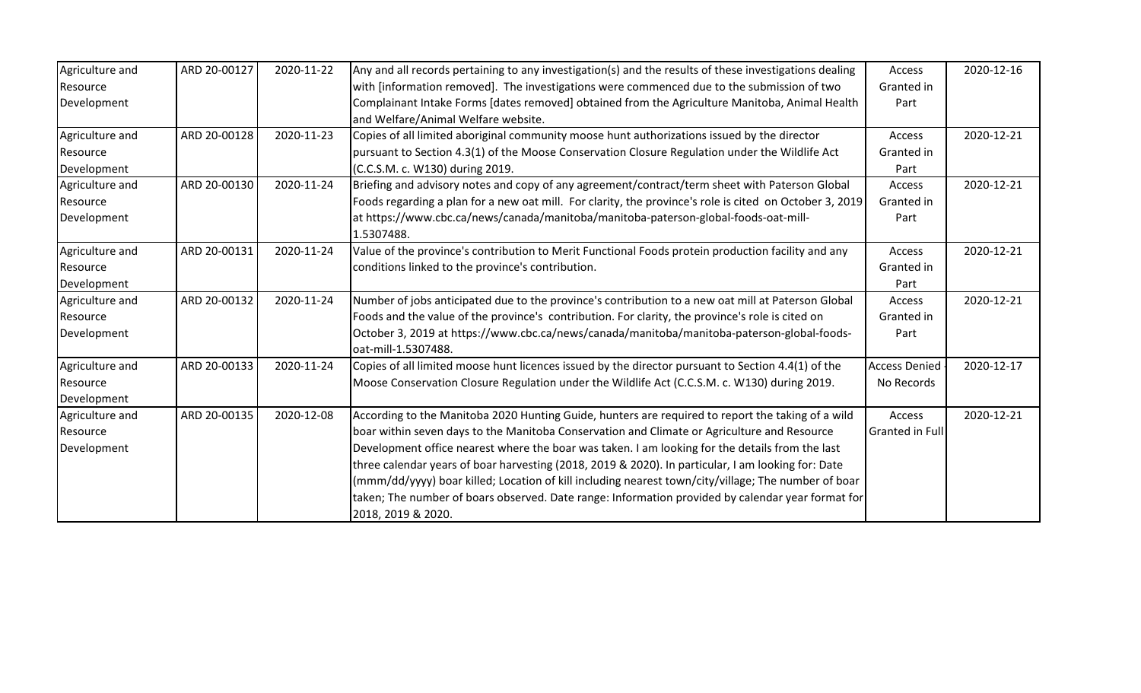| Agriculture and | ARD 20-00127 | 2020-11-22 | Any and all records pertaining to any investigation(s) and the results of these investigations dealing  | Access                 | 2020-12-16 |
|-----------------|--------------|------------|---------------------------------------------------------------------------------------------------------|------------------------|------------|
| Resource        |              |            | with [information removed]. The investigations were commenced due to the submission of two              | Granted in             |            |
| Development     |              |            | Complainant Intake Forms [dates removed] obtained from the Agriculture Manitoba, Animal Health          | Part                   |            |
|                 |              |            | and Welfare/Animal Welfare website.                                                                     |                        |            |
| Agriculture and | ARD 20-00128 | 2020-11-23 | Copies of all limited aboriginal community moose hunt authorizations issued by the director             | Access                 | 2020-12-21 |
| Resource        |              |            | pursuant to Section 4.3(1) of the Moose Conservation Closure Regulation under the Wildlife Act          | Granted in             |            |
| Development     |              |            | (C.C.S.M. c. W130) during 2019.                                                                         | Part                   |            |
| Agriculture and | ARD 20-00130 | 2020-11-24 | Briefing and advisory notes and copy of any agreement/contract/term sheet with Paterson Global          | Access                 | 2020-12-21 |
| Resource        |              |            | Foods regarding a plan for a new oat mill. For clarity, the province's role is cited on October 3, 2019 | Granted in             |            |
| Development     |              |            | at https://www.cbc.ca/news/canada/manitoba/manitoba-paterson-global-foods-oat-mill-                     | Part                   |            |
|                 |              |            | 1.5307488.                                                                                              |                        |            |
| Agriculture and | ARD 20-00131 | 2020-11-24 | Value of the province's contribution to Merit Functional Foods protein production facility and any      | Access                 | 2020-12-21 |
| Resource        |              |            | conditions linked to the province's contribution.                                                       | Granted in             |            |
| Development     |              |            |                                                                                                         | Part                   |            |
| Agriculture and | ARD 20-00132 | 2020-11-24 | Number of jobs anticipated due to the province's contribution to a new oat mill at Paterson Global      | Access                 | 2020-12-21 |
| Resource        |              |            | Foods and the value of the province's contribution. For clarity, the province's role is cited on        | Granted in             |            |
| Development     |              |            | October 3, 2019 at https://www.cbc.ca/news/canada/manitoba/manitoba-paterson-global-foods-              | Part                   |            |
|                 |              |            | oat-mill-1.5307488.                                                                                     |                        |            |
| Agriculture and | ARD 20-00133 | 2020-11-24 | Copies of all limited moose hunt licences issued by the director pursuant to Section 4.4(1) of the      | <b>Access Denied</b>   | 2020-12-17 |
| Resource        |              |            | Moose Conservation Closure Regulation under the Wildlife Act (C.C.S.M. c. W130) during 2019.            | No Records             |            |
| Development     |              |            |                                                                                                         |                        |            |
| Agriculture and | ARD 20-00135 | 2020-12-08 | According to the Manitoba 2020 Hunting Guide, hunters are required to report the taking of a wild       | Access                 | 2020-12-21 |
| Resource        |              |            | boar within seven days to the Manitoba Conservation and Climate or Agriculture and Resource             | <b>Granted in Full</b> |            |
| Development     |              |            | Development office nearest where the boar was taken. I am looking for the details from the last         |                        |            |
|                 |              |            | three calendar years of boar harvesting (2018, 2019 & 2020). In particular, I am looking for: Date      |                        |            |
|                 |              |            | (mmm/dd/yyyy) boar killed; Location of kill including nearest town/city/village; The number of boar     |                        |            |
|                 |              |            | taken; The number of boars observed. Date range: Information provided by calendar year format for       |                        |            |
|                 |              |            | 2018, 2019 & 2020.                                                                                      |                        |            |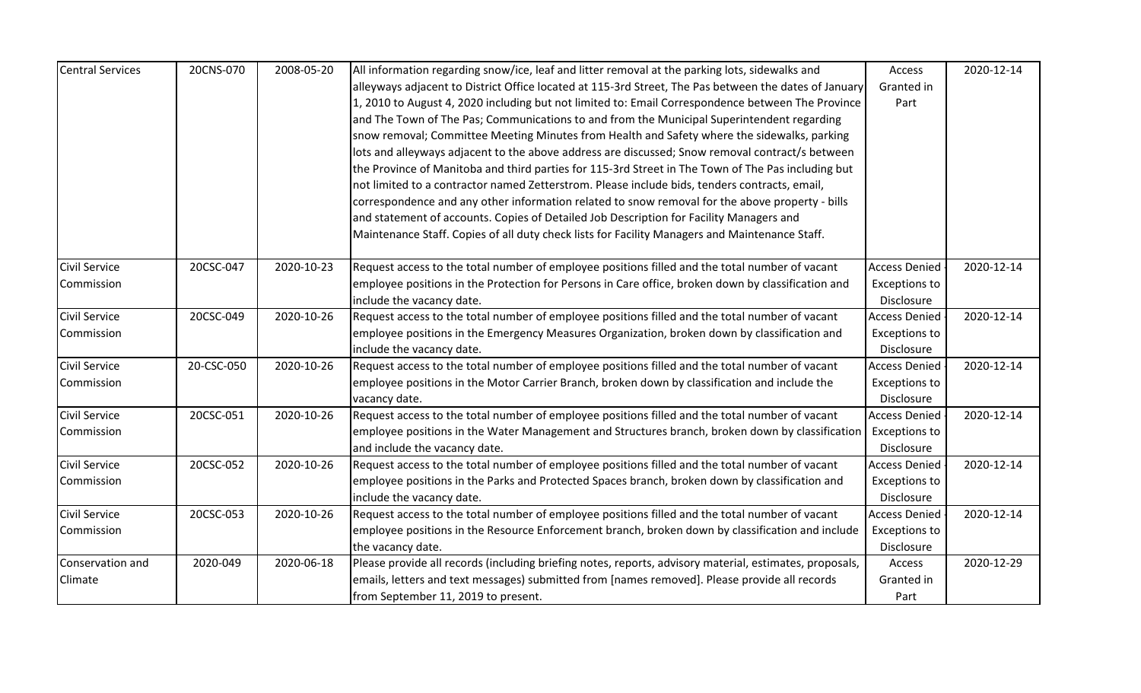| <b>Central Services</b> | 20CNS-070  | 2008-05-20 | All information regarding snow/ice, leaf and litter removal at the parking lots, sidewalks and          | Access               | 2020-12-14 |
|-------------------------|------------|------------|---------------------------------------------------------------------------------------------------------|----------------------|------------|
|                         |            |            | alleyways adjacent to District Office located at 115-3rd Street, The Pas between the dates of January   | Granted in           |            |
|                         |            |            | 1, 2010 to August 4, 2020 including but not limited to: Email Correspondence between The Province       | Part                 |            |
|                         |            |            | and The Town of The Pas; Communications to and from the Municipal Superintendent regarding              |                      |            |
|                         |            |            | snow removal; Committee Meeting Minutes from Health and Safety where the sidewalks, parking             |                      |            |
|                         |            |            | lots and alleyways adjacent to the above address are discussed; Snow removal contract/s between         |                      |            |
|                         |            |            | the Province of Manitoba and third parties for 115-3rd Street in The Town of The Pas including but      |                      |            |
|                         |            |            | not limited to a contractor named Zetterstrom. Please include bids, tenders contracts, email,           |                      |            |
|                         |            |            | correspondence and any other information related to snow removal for the above property - bills         |                      |            |
|                         |            |            | and statement of accounts. Copies of Detailed Job Description for Facility Managers and                 |                      |            |
|                         |            |            | Maintenance Staff. Copies of all duty check lists for Facility Managers and Maintenance Staff.          |                      |            |
|                         |            |            |                                                                                                         |                      |            |
| <b>Civil Service</b>    | 20CSC-047  | 2020-10-23 | Request access to the total number of employee positions filled and the total number of vacant          | <b>Access Denied</b> | 2020-12-14 |
| Commission              |            |            | employee positions in the Protection for Persons in Care office, broken down by classification and      | <b>Exceptions to</b> |            |
|                         |            |            | include the vacancy date.                                                                               | Disclosure           |            |
| Civil Service           | 20CSC-049  | 2020-10-26 | Request access to the total number of employee positions filled and the total number of vacant          | <b>Access Denied</b> | 2020-12-14 |
| Commission              |            |            | employee positions in the Emergency Measures Organization, broken down by classification and            | <b>Exceptions to</b> |            |
|                         |            |            | include the vacancy date.                                                                               | Disclosure           |            |
| <b>Civil Service</b>    | 20-CSC-050 | 2020-10-26 | Request access to the total number of employee positions filled and the total number of vacant          | <b>Access Denied</b> | 2020-12-14 |
| Commission              |            |            | employee positions in the Motor Carrier Branch, broken down by classification and include the           | <b>Exceptions to</b> |            |
|                         |            |            | vacancy date.                                                                                           | <b>Disclosure</b>    |            |
| <b>Civil Service</b>    | 20CSC-051  | 2020-10-26 | Request access to the total number of employee positions filled and the total number of vacant          | <b>Access Denied</b> | 2020-12-14 |
| Commission              |            |            | employee positions in the Water Management and Structures branch, broken down by classification         | Exceptions to        |            |
|                         |            |            | and include the vacancy date.                                                                           | Disclosure           |            |
| <b>Civil Service</b>    | 20CSC-052  | 2020-10-26 | Request access to the total number of employee positions filled and the total number of vacant          | <b>Access Denied</b> | 2020-12-14 |
| Commission              |            |            | employee positions in the Parks and Protected Spaces branch, broken down by classification and          | <b>Exceptions to</b> |            |
|                         |            |            | include the vacancy date.                                                                               | Disclosure           |            |
| <b>Civil Service</b>    | 20CSC-053  | 2020-10-26 | Request access to the total number of employee positions filled and the total number of vacant          | <b>Access Denied</b> | 2020-12-14 |
| Commission              |            |            | employee positions in the Resource Enforcement branch, broken down by classification and include        | <b>Exceptions to</b> |            |
|                         |            |            | the vacancy date.                                                                                       | Disclosure           |            |
| Conservation and        | 2020-049   | 2020-06-18 | Please provide all records (including briefing notes, reports, advisory material, estimates, proposals, | Access               | 2020-12-29 |
| Climate                 |            |            | emails, letters and text messages) submitted from [names removed]. Please provide all records           | Granted in           |            |
|                         |            |            | from September 11, 2019 to present.                                                                     | Part                 |            |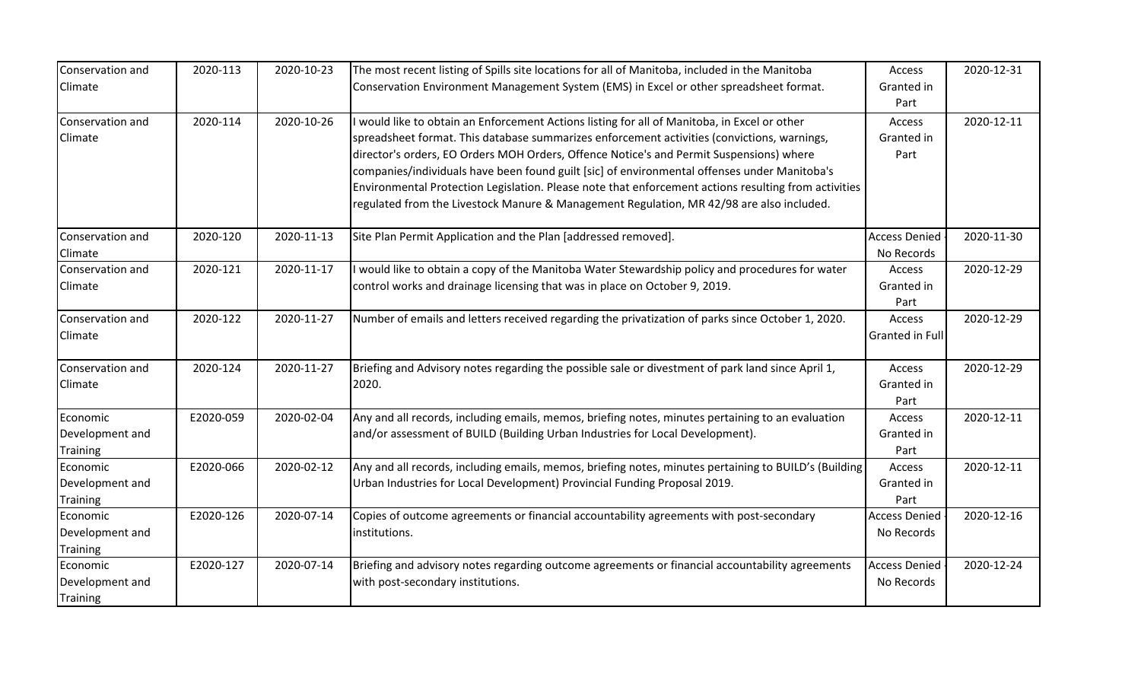| Conservation and<br>Climate                    | 2020-113  | 2020-10-23 | The most recent listing of Spills site locations for all of Manitoba, included in the Manitoba<br>Conservation Environment Management System (EMS) in Excel or other spreadsheet format.                                                                                                                                                                                                                                                                                                                                                                                                 | Access<br>Granted in<br>Part       | 2020-12-31 |
|------------------------------------------------|-----------|------------|------------------------------------------------------------------------------------------------------------------------------------------------------------------------------------------------------------------------------------------------------------------------------------------------------------------------------------------------------------------------------------------------------------------------------------------------------------------------------------------------------------------------------------------------------------------------------------------|------------------------------------|------------|
| Conservation and<br>Climate                    | 2020-114  | 2020-10-26 | would like to obtain an Enforcement Actions listing for all of Manitoba, in Excel or other<br>spreadsheet format. This database summarizes enforcement activities (convictions, warnings,<br>director's orders, EO Orders MOH Orders, Offence Notice's and Permit Suspensions) where<br>companies/individuals have been found guilt [sic] of environmental offenses under Manitoba's<br>Environmental Protection Legislation. Please note that enforcement actions resulting from activities<br>regulated from the Livestock Manure & Management Regulation, MR 42/98 are also included. | Access<br>Granted in<br>Part       | 2020-12-11 |
| Conservation and<br>Climate                    | 2020-120  | 2020-11-13 | Site Plan Permit Application and the Plan [addressed removed].                                                                                                                                                                                                                                                                                                                                                                                                                                                                                                                           | <b>Access Denied</b><br>No Records | 2020-11-30 |
| Conservation and<br>Climate                    | 2020-121  | 2020-11-17 | would like to obtain a copy of the Manitoba Water Stewardship policy and procedures for water<br>control works and drainage licensing that was in place on October 9, 2019.                                                                                                                                                                                                                                                                                                                                                                                                              | Access<br>Granted in<br>Part       | 2020-12-29 |
| Conservation and<br>Climate                    | 2020-122  | 2020-11-27 | Number of emails and letters received regarding the privatization of parks since October 1, 2020.                                                                                                                                                                                                                                                                                                                                                                                                                                                                                        | Access<br><b>Granted in Full</b>   | 2020-12-29 |
| Conservation and<br>Climate                    | 2020-124  | 2020-11-27 | Briefing and Advisory notes regarding the possible sale or divestment of park land since April 1,<br>2020.                                                                                                                                                                                                                                                                                                                                                                                                                                                                               | Access<br>Granted in<br>Part       | 2020-12-29 |
| Economic<br>Development and<br><b>Training</b> | E2020-059 | 2020-02-04 | Any and all records, including emails, memos, briefing notes, minutes pertaining to an evaluation<br>and/or assessment of BUILD (Building Urban Industries for Local Development).                                                                                                                                                                                                                                                                                                                                                                                                       | Access<br>Granted in<br>Part       | 2020-12-11 |
| Economic<br>Development and<br>Training        | E2020-066 | 2020-02-12 | Any and all records, including emails, memos, briefing notes, minutes pertaining to BUILD's (Building<br>Urban Industries for Local Development) Provincial Funding Proposal 2019.                                                                                                                                                                                                                                                                                                                                                                                                       | Access<br>Granted in<br>Part       | 2020-12-11 |
| Economic<br>Development and<br><b>Training</b> | E2020-126 | 2020-07-14 | Copies of outcome agreements or financial accountability agreements with post-secondary<br>institutions.                                                                                                                                                                                                                                                                                                                                                                                                                                                                                 | <b>Access Denied</b><br>No Records | 2020-12-16 |
| Economic<br>Development and<br><b>Training</b> | E2020-127 | 2020-07-14 | Briefing and advisory notes regarding outcome agreements or financial accountability agreements<br>with post-secondary institutions.                                                                                                                                                                                                                                                                                                                                                                                                                                                     | <b>Access Denied</b><br>No Records | 2020-12-24 |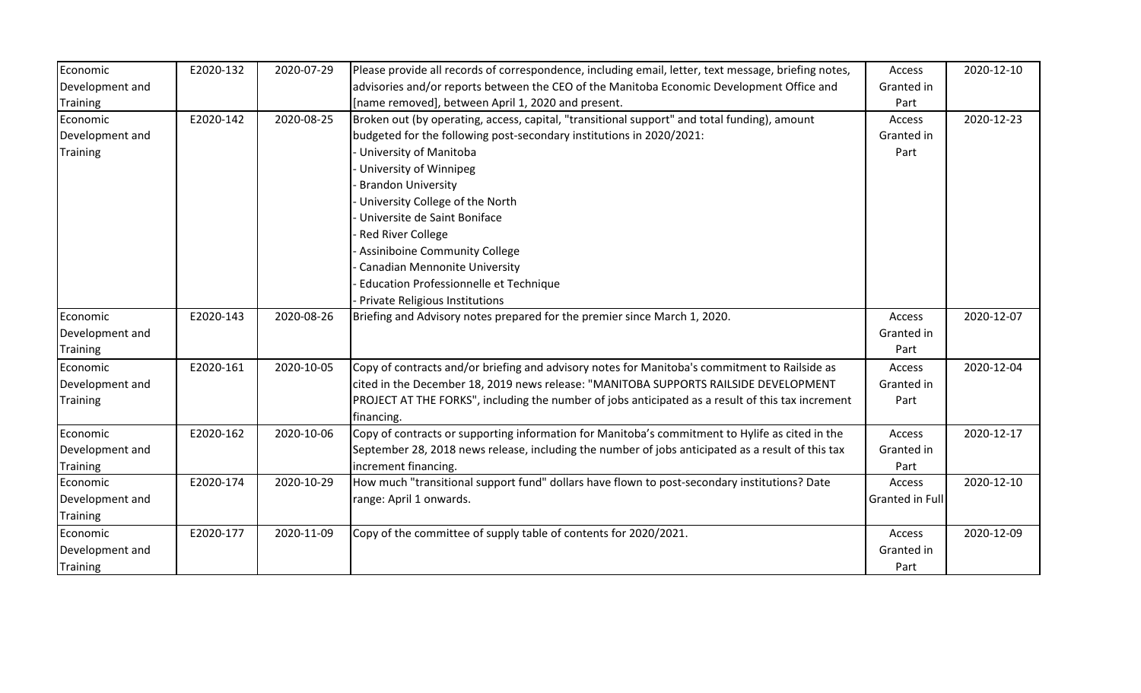| Economic        | E2020-132 | 2020-07-29 | Please provide all records of correspondence, including email, letter, text message, briefing notes, | Access                 | 2020-12-10 |
|-----------------|-----------|------------|------------------------------------------------------------------------------------------------------|------------------------|------------|
| Development and |           |            | advisories and/or reports between the CEO of the Manitoba Economic Development Office and            | Granted in             |            |
| <b>Training</b> |           |            | [name removed], between April 1, 2020 and present.                                                   | Part                   |            |
| Economic        | E2020-142 | 2020-08-25 | Broken out (by operating, access, capital, "transitional support" and total funding), amount         | Access                 | 2020-12-23 |
| Development and |           |            | budgeted for the following post-secondary institutions in 2020/2021:                                 | Granted in             |            |
| <b>Training</b> |           |            | University of Manitoba                                                                               | Part                   |            |
|                 |           |            | University of Winnipeg                                                                               |                        |            |
|                 |           |            | <b>Brandon University</b>                                                                            |                        |            |
|                 |           |            | University College of the North                                                                      |                        |            |
|                 |           |            | Universite de Saint Boniface                                                                         |                        |            |
|                 |           |            | <b>Red River College</b>                                                                             |                        |            |
|                 |           |            | <b>Assiniboine Community College</b>                                                                 |                        |            |
|                 |           |            | <b>Canadian Mennonite University</b>                                                                 |                        |            |
|                 |           |            | Education Professionnelle et Technique                                                               |                        |            |
|                 |           |            | Private Religious Institutions                                                                       |                        |            |
| Economic        | E2020-143 | 2020-08-26 | Briefing and Advisory notes prepared for the premier since March 1, 2020.                            | Access                 | 2020-12-07 |
| Development and |           |            |                                                                                                      | Granted in             |            |
| <b>Training</b> |           |            |                                                                                                      | Part                   |            |
| Economic        | E2020-161 | 2020-10-05 | Copy of contracts and/or briefing and advisory notes for Manitoba's commitment to Railside as        | Access                 | 2020-12-04 |
| Development and |           |            | cited in the December 18, 2019 news release: "MANITOBA SUPPORTS RAILSIDE DEVELOPMENT                 | Granted in             |            |
| <b>Training</b> |           |            | PROJECT AT THE FORKS", including the number of jobs anticipated as a result of this tax increment    | Part                   |            |
|                 |           |            | financing.                                                                                           |                        |            |
| Economic        | E2020-162 | 2020-10-06 | Copy of contracts or supporting information for Manitoba's commitment to Hylife as cited in the      | Access                 | 2020-12-17 |
| Development and |           |            | September 28, 2018 news release, including the number of jobs anticipated as a result of this tax    | Granted in             |            |
| Training        |           |            | increment financing.                                                                                 | Part                   |            |
| Economic        | E2020-174 | 2020-10-29 | How much "transitional support fund" dollars have flown to post-secondary institutions? Date         | Access                 | 2020-12-10 |
| Development and |           |            | range: April 1 onwards.                                                                              | <b>Granted in Full</b> |            |
| <b>Training</b> |           |            |                                                                                                      |                        |            |
| Economic        | E2020-177 | 2020-11-09 | Copy of the committee of supply table of contents for 2020/2021.                                     | Access                 | 2020-12-09 |
| Development and |           |            |                                                                                                      | Granted in             |            |
| <b>Training</b> |           |            |                                                                                                      | Part                   |            |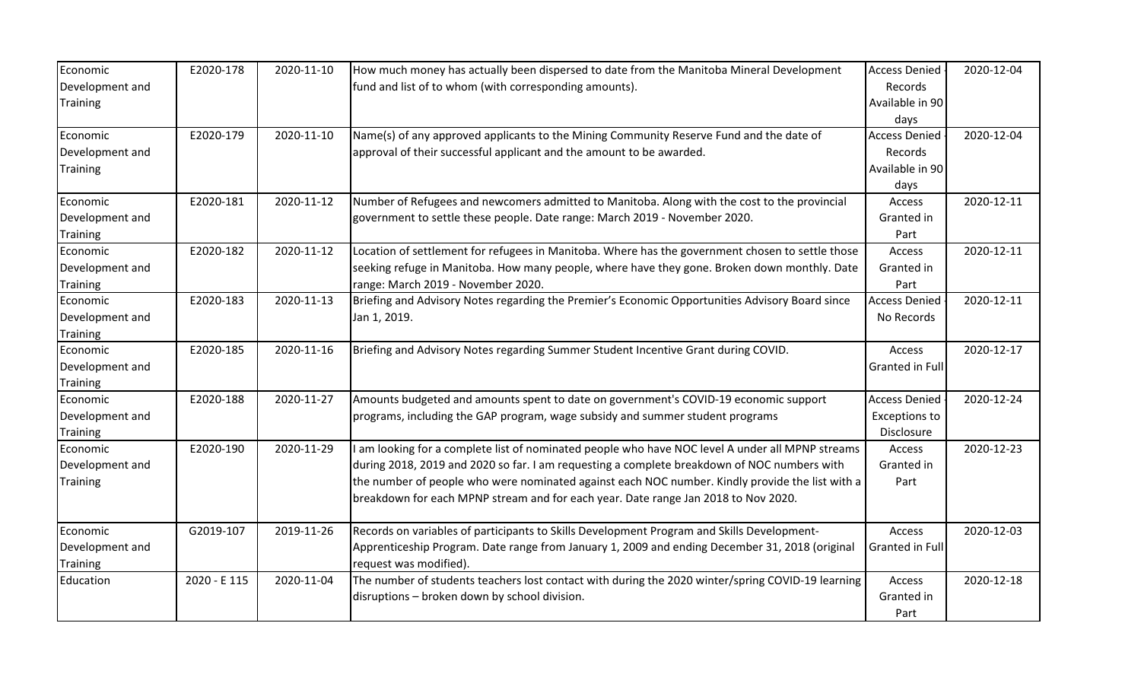| Economic        | E2020-178    | 2020-11-10 | How much money has actually been dispersed to date from the Manitoba Mineral Development          | <b>Access Denied</b> | 2020-12-04 |
|-----------------|--------------|------------|---------------------------------------------------------------------------------------------------|----------------------|------------|
| Development and |              |            | fund and list of to whom (with corresponding amounts).                                            | Records              |            |
| Training        |              |            |                                                                                                   | Available in 90      |            |
|                 |              |            |                                                                                                   | days                 |            |
| Economic        | E2020-179    | 2020-11-10 | Name(s) of any approved applicants to the Mining Community Reserve Fund and the date of           | <b>Access Denied</b> | 2020-12-04 |
| Development and |              |            | approval of their successful applicant and the amount to be awarded.                              | Records              |            |
| <b>Training</b> |              |            |                                                                                                   | Available in 90      |            |
|                 |              |            |                                                                                                   | days                 |            |
| Economic        | E2020-181    | 2020-11-12 | Number of Refugees and newcomers admitted to Manitoba. Along with the cost to the provincial      | Access               | 2020-12-11 |
| Development and |              |            | government to settle these people. Date range: March 2019 - November 2020.                        | Granted in           |            |
| <b>Training</b> |              |            |                                                                                                   | Part                 |            |
| Economic        | E2020-182    | 2020-11-12 | Location of settlement for refugees in Manitoba. Where has the government chosen to settle those  | Access               | 2020-12-11 |
| Development and |              |            | seeking refuge in Manitoba. How many people, where have they gone. Broken down monthly. Date      | Granted in           |            |
| <b>Training</b> |              |            | range: March 2019 - November 2020.                                                                | Part                 |            |
| Economic        | E2020-183    | 2020-11-13 | Briefing and Advisory Notes regarding the Premier's Economic Opportunities Advisory Board since   | <b>Access Denied</b> | 2020-12-11 |
| Development and |              |            | Jan 1, 2019.                                                                                      | No Records           |            |
| Training        |              |            |                                                                                                   |                      |            |
| Economic        | E2020-185    | 2020-11-16 | Briefing and Advisory Notes regarding Summer Student Incentive Grant during COVID.                | Access               | 2020-12-17 |
| Development and |              |            |                                                                                                   | Granted in Full      |            |
| <b>Training</b> |              |            |                                                                                                   |                      |            |
| Economic        | E2020-188    | 2020-11-27 | Amounts budgeted and amounts spent to date on government's COVID-19 economic support              | <b>Access Denied</b> | 2020-12-24 |
| Development and |              |            | programs, including the GAP program, wage subsidy and summer student programs                     | <b>Exceptions to</b> |            |
| <b>Training</b> |              |            |                                                                                                   | Disclosure           |            |
| Economic        | E2020-190    | 2020-11-29 | am looking for a complete list of nominated people who have NOC level A under all MPNP streams    | Access               | 2020-12-23 |
| Development and |              |            | during 2018, 2019 and 2020 so far. I am requesting a complete breakdown of NOC numbers with       | Granted in           |            |
| <b>Training</b> |              |            | the number of people who were nominated against each NOC number. Kindly provide the list with a   | Part                 |            |
|                 |              |            | breakdown for each MPNP stream and for each year. Date range Jan 2018 to Nov 2020.                |                      |            |
|                 |              |            |                                                                                                   |                      |            |
| Economic        | G2019-107    | 2019-11-26 | Records on variables of participants to Skills Development Program and Skills Development-        | Access               | 2020-12-03 |
| Development and |              |            | Apprenticeship Program. Date range from January 1, 2009 and ending December 31, 2018 (original    | Granted in Full      |            |
| <b>Training</b> |              |            | request was modified).                                                                            |                      |            |
| Education       | 2020 - E 115 | 2020-11-04 | The number of students teachers lost contact with during the 2020 winter/spring COVID-19 learning | Access               | 2020-12-18 |
|                 |              |            | disruptions - broken down by school division.                                                     | Granted in           |            |
|                 |              |            |                                                                                                   | Part                 |            |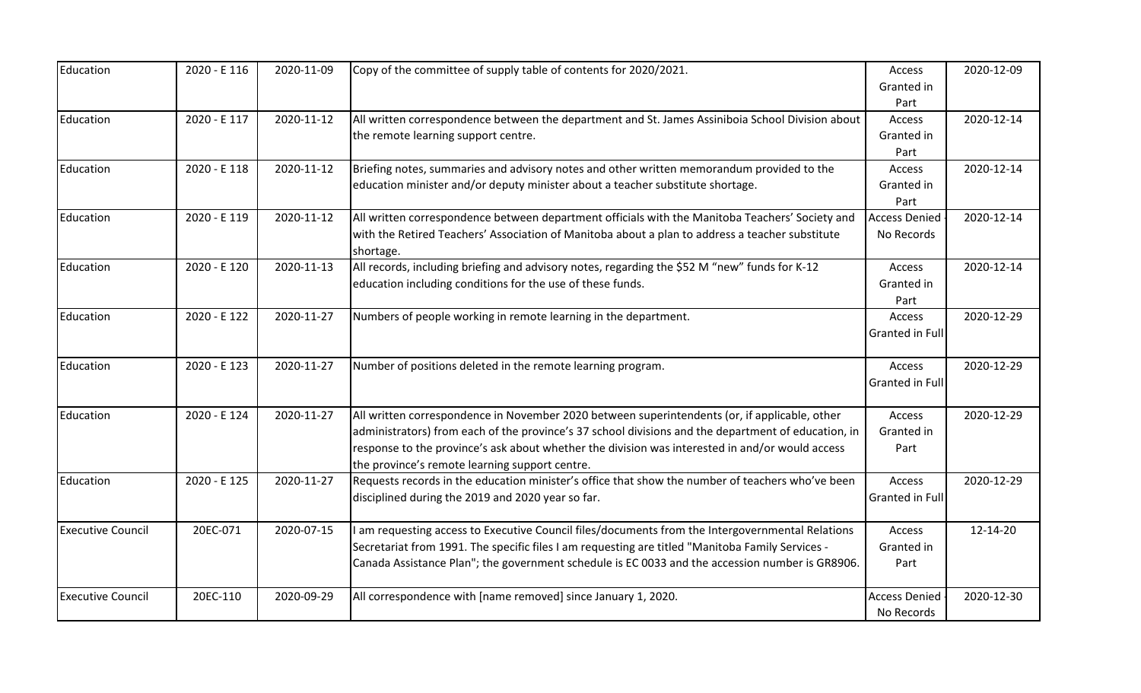| Education                | 2020 - E 116 | 2020-11-09 | Copy of the committee of supply table of contents for 2020/2021.                                                                                  | Access<br>Granted in | 2020-12-09 |
|--------------------------|--------------|------------|---------------------------------------------------------------------------------------------------------------------------------------------------|----------------------|------------|
|                          |              |            |                                                                                                                                                   | Part                 |            |
| Education                | 2020 - E 117 | 2020-11-12 | All written correspondence between the department and St. James Assiniboia School Division about<br>the remote learning support centre.           | Access<br>Granted in | 2020-12-14 |
|                          |              |            |                                                                                                                                                   | Part                 |            |
| Education                | 2020 - E 118 | 2020-11-12 | Briefing notes, summaries and advisory notes and other written memorandum provided to the                                                         | Access               | 2020-12-14 |
|                          |              |            | education minister and/or deputy minister about a teacher substitute shortage.                                                                    | Granted in           |            |
|                          |              |            |                                                                                                                                                   | Part                 |            |
| Education                | 2020 - E 119 | 2020-11-12 | All written correspondence between department officials with the Manitoba Teachers' Society and                                                   | <b>Access Denied</b> | 2020-12-14 |
|                          |              |            | with the Retired Teachers' Association of Manitoba about a plan to address a teacher substitute<br>shortage.                                      | No Records           |            |
| Education                | 2020 - E 120 | 2020-11-13 | All records, including briefing and advisory notes, regarding the \$52 M "new" funds for K-12                                                     | Access               | 2020-12-14 |
|                          |              |            | education including conditions for the use of these funds.                                                                                        | Granted in           |            |
|                          |              |            |                                                                                                                                                   | Part                 |            |
| Education                | 2020 - E 122 | 2020-11-27 | Numbers of people working in remote learning in the department.                                                                                   | Access               | 2020-12-29 |
|                          |              |            |                                                                                                                                                   | Granted in Full      |            |
| Education                | 2020 - E 123 | 2020-11-27 | Number of positions deleted in the remote learning program.                                                                                       | Access               | 2020-12-29 |
|                          |              |            |                                                                                                                                                   | Granted in Full      |            |
| Education                | 2020 - E 124 | 2020-11-27 | All written correspondence in November 2020 between superintendents (or, if applicable, other                                                     | Access               | 2020-12-29 |
|                          |              |            | administrators) from each of the province's 37 school divisions and the department of education, in                                               | Granted in           |            |
|                          |              |            | response to the province's ask about whether the division was interested in and/or would access<br>the province's remote learning support centre. | Part                 |            |
| Education                | 2020 - E 125 | 2020-11-27 | Requests records in the education minister's office that show the number of teachers who've been                                                  | Access               | 2020-12-29 |
|                          |              |            | disciplined during the 2019 and 2020 year so far.                                                                                                 | Granted in Full      |            |
| <b>Executive Council</b> | 20EC-071     | 2020-07-15 | am requesting access to Executive Council files/documents from the Intergovernmental Relations                                                    | Access               | 12-14-20   |
|                          |              |            | Secretariat from 1991. The specific files I am requesting are titled "Manitoba Family Services -                                                  | Granted in           |            |
|                          |              |            | Canada Assistance Plan"; the government schedule is EC 0033 and the accession number is GR8906.                                                   | Part                 |            |
| <b>Executive Council</b> | 20EC-110     | 2020-09-29 | All correspondence with [name removed] since January 1, 2020.                                                                                     | <b>Access Denied</b> | 2020-12-30 |
|                          |              |            |                                                                                                                                                   | No Records           |            |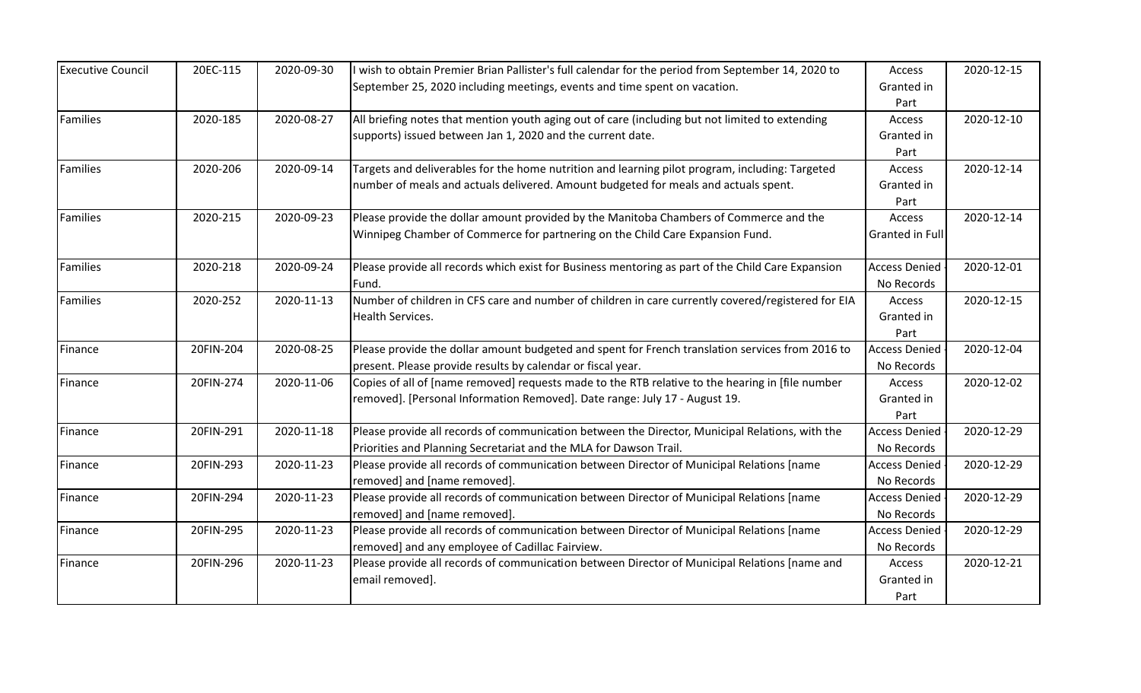| <b>Executive Council</b> | 20EC-115  | 2020-09-30 | I wish to obtain Premier Brian Pallister's full calendar for the period from September 14, 2020 to | Access               | 2020-12-15 |
|--------------------------|-----------|------------|----------------------------------------------------------------------------------------------------|----------------------|------------|
|                          |           |            | September 25, 2020 including meetings, events and time spent on vacation.                          | Granted in           |            |
|                          |           |            |                                                                                                    | Part                 |            |
| Families                 | 2020-185  | 2020-08-27 | All briefing notes that mention youth aging out of care (including but not limited to extending    | Access               | 2020-12-10 |
|                          |           |            | supports) issued between Jan 1, 2020 and the current date.                                         | Granted in           |            |
|                          |           |            |                                                                                                    | Part                 |            |
| Families                 | 2020-206  | 2020-09-14 | Targets and deliverables for the home nutrition and learning pilot program, including: Targeted    | Access               | 2020-12-14 |
|                          |           |            | number of meals and actuals delivered. Amount budgeted for meals and actuals spent.                | Granted in           |            |
|                          |           |            |                                                                                                    | Part                 |            |
| Families                 | 2020-215  | 2020-09-23 | Please provide the dollar amount provided by the Manitoba Chambers of Commerce and the             | Access               | 2020-12-14 |
|                          |           |            | Winnipeg Chamber of Commerce for partnering on the Child Care Expansion Fund.                      | Granted in Full      |            |
|                          |           |            |                                                                                                    |                      |            |
| Families                 | 2020-218  | 2020-09-24 | Please provide all records which exist for Business mentoring as part of the Child Care Expansion  | <b>Access Denied</b> | 2020-12-01 |
|                          |           |            | Fund.                                                                                              | No Records           |            |
| Families                 | 2020-252  | 2020-11-13 | Number of children in CFS care and number of children in care currently covered/registered for EIA | Access               | 2020-12-15 |
|                          |           |            | Health Services.                                                                                   | Granted in           |            |
|                          |           |            |                                                                                                    | Part                 |            |
| Finance                  | 20FIN-204 | 2020-08-25 | Please provide the dollar amount budgeted and spent for French translation services from 2016 to   | <b>Access Denied</b> | 2020-12-04 |
|                          |           |            | present. Please provide results by calendar or fiscal year.                                        | No Records           |            |
| Finance                  | 20FIN-274 | 2020-11-06 | Copies of all of [name removed] requests made to the RTB relative to the hearing in [file number   | Access               | 2020-12-02 |
|                          |           |            | removed]. [Personal Information Removed]. Date range: July 17 - August 19.                         | Granted in           |            |
|                          |           |            |                                                                                                    | Part                 |            |
| Finance                  | 20FIN-291 | 2020-11-18 | Please provide all records of communication between the Director, Municipal Relations, with the    | <b>Access Denied</b> | 2020-12-29 |
|                          |           |            | Priorities and Planning Secretariat and the MLA for Dawson Trail.                                  | No Records           |            |
| Finance                  | 20FIN-293 | 2020-11-23 | Please provide all records of communication between Director of Municipal Relations [name          | <b>Access Denied</b> | 2020-12-29 |
|                          |           |            | removed] and [name removed].                                                                       | No Records           |            |
| Finance                  | 20FIN-294 | 2020-11-23 | Please provide all records of communication between Director of Municipal Relations [name          | <b>Access Denied</b> | 2020-12-29 |
|                          |           |            | removed] and [name removed].                                                                       | No Records           |            |
| Finance                  | 20FIN-295 | 2020-11-23 | Please provide all records of communication between Director of Municipal Relations [name          | <b>Access Denied</b> | 2020-12-29 |
|                          |           |            | removed] and any employee of Cadillac Fairview.                                                    | No Records           |            |
| Finance                  | 20FIN-296 | 2020-11-23 | Please provide all records of communication between Director of Municipal Relations [name and      | Access               | 2020-12-21 |
|                          |           |            | email removed].                                                                                    | Granted in           |            |
|                          |           |            |                                                                                                    | Part                 |            |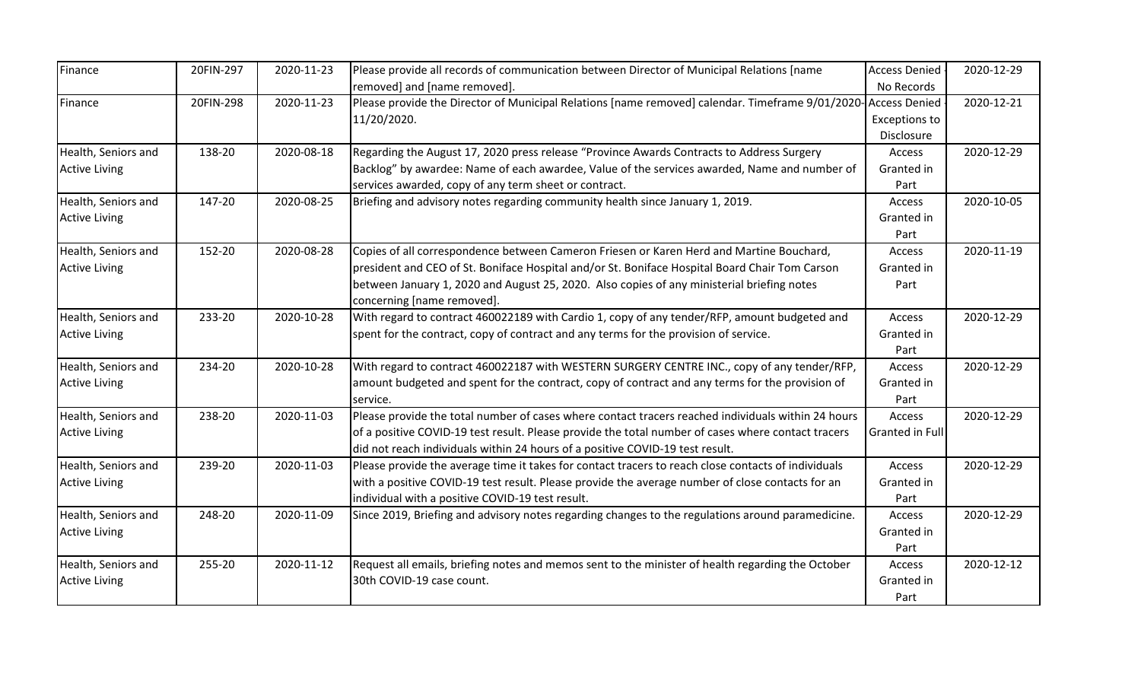| Finance              | 20FIN-297 | 2020-11-23 | Please provide all records of communication between Director of Municipal Relations [name                     | <b>Access Denied</b>   | 2020-12-29 |
|----------------------|-----------|------------|---------------------------------------------------------------------------------------------------------------|------------------------|------------|
|                      |           |            | removed] and [name removed].                                                                                  | No Records             |            |
| Finance              | 20FIN-298 | 2020-11-23 | Please provide the Director of Municipal Relations [name removed] calendar. Timeframe 9/01/2020-Access Denied |                        | 2020-12-21 |
|                      |           |            | 11/20/2020.                                                                                                   | <b>Exceptions to</b>   |            |
|                      |           |            |                                                                                                               | Disclosure             |            |
| Health, Seniors and  | 138-20    | 2020-08-18 | Regarding the August 17, 2020 press release "Province Awards Contracts to Address Surgery                     | Access                 | 2020-12-29 |
| <b>Active Living</b> |           |            | Backlog" by awardee: Name of each awardee, Value of the services awarded, Name and number of                  | Granted in             |            |
|                      |           |            | services awarded, copy of any term sheet or contract.                                                         | Part                   |            |
| Health, Seniors and  | 147-20    | 2020-08-25 | Briefing and advisory notes regarding community health since January 1, 2019.                                 | Access                 | 2020-10-05 |
| <b>Active Living</b> |           |            |                                                                                                               | Granted in             |            |
|                      |           |            |                                                                                                               | Part                   |            |
| Health, Seniors and  | 152-20    | 2020-08-28 | Copies of all correspondence between Cameron Friesen or Karen Herd and Martine Bouchard,                      | Access                 | 2020-11-19 |
| <b>Active Living</b> |           |            | president and CEO of St. Boniface Hospital and/or St. Boniface Hospital Board Chair Tom Carson                | Granted in             |            |
|                      |           |            | between January 1, 2020 and August 25, 2020. Also copies of any ministerial briefing notes                    | Part                   |            |
|                      |           |            | concerning [name removed].                                                                                    |                        |            |
| Health, Seniors and  | 233-20    | 2020-10-28 | With regard to contract 460022189 with Cardio 1, copy of any tender/RFP, amount budgeted and                  | Access                 | 2020-12-29 |
| <b>Active Living</b> |           |            | spent for the contract, copy of contract and any terms for the provision of service.                          | Granted in             |            |
|                      |           |            |                                                                                                               | Part                   |            |
| Health, Seniors and  | 234-20    | 2020-10-28 | With regard to contract 460022187 with WESTERN SURGERY CENTRE INC., copy of any tender/RFP,                   | Access                 | 2020-12-29 |
| <b>Active Living</b> |           |            | amount budgeted and spent for the contract, copy of contract and any terms for the provision of               | Granted in             |            |
|                      |           |            | service.                                                                                                      | Part                   |            |
| Health, Seniors and  | 238-20    | 2020-11-03 | Please provide the total number of cases where contact tracers reached individuals within 24 hours            | Access                 | 2020-12-29 |
| <b>Active Living</b> |           |            | of a positive COVID-19 test result. Please provide the total number of cases where contact tracers            | <b>Granted in Full</b> |            |
|                      |           |            | did not reach individuals within 24 hours of a positive COVID-19 test result.                                 |                        |            |
| Health, Seniors and  | 239-20    | 2020-11-03 | Please provide the average time it takes for contact tracers to reach close contacts of individuals           | Access                 | 2020-12-29 |
| <b>Active Living</b> |           |            | with a positive COVID-19 test result. Please provide the average number of close contacts for an              | Granted in             |            |
|                      |           |            | individual with a positive COVID-19 test result.                                                              | Part                   |            |
| Health, Seniors and  | 248-20    | 2020-11-09 | Since 2019, Briefing and advisory notes regarding changes to the regulations around paramedicine.             | Access                 | 2020-12-29 |
| <b>Active Living</b> |           |            |                                                                                                               | Granted in             |            |
|                      |           |            |                                                                                                               | Part                   |            |
| Health, Seniors and  | 255-20    | 2020-11-12 | Request all emails, briefing notes and memos sent to the minister of health regarding the October             | Access                 | 2020-12-12 |
| <b>Active Living</b> |           |            | 30th COVID-19 case count.                                                                                     | Granted in             |            |
|                      |           |            |                                                                                                               | Part                   |            |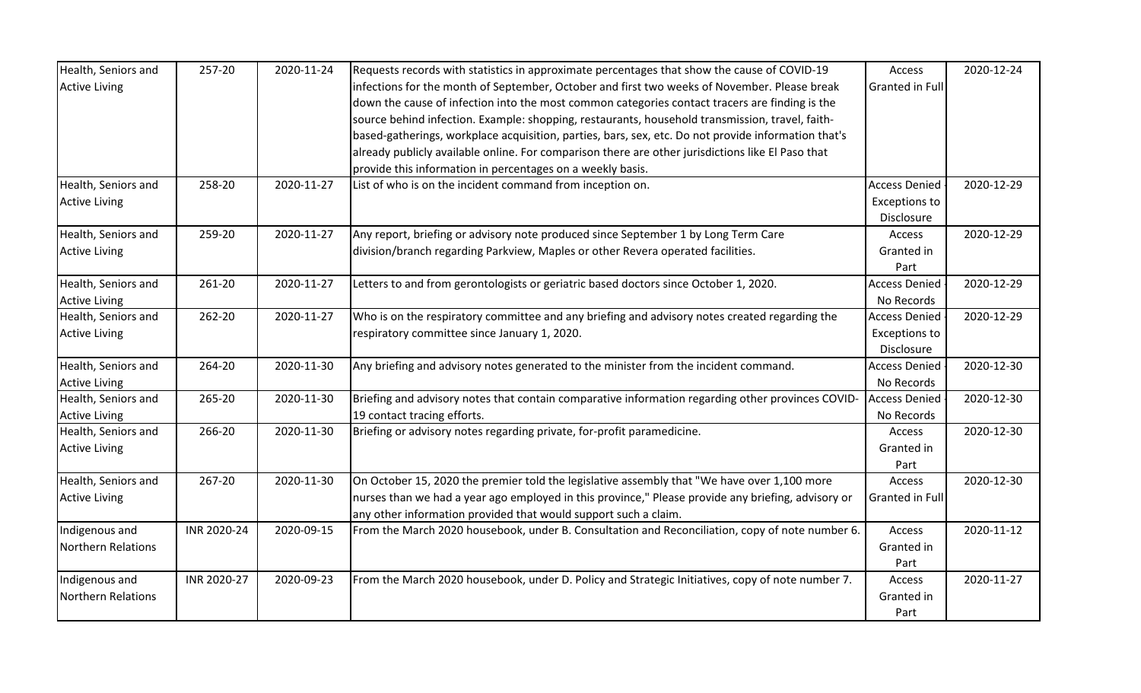| Health, Seniors and       | 257-20      | 2020-11-24 | Requests records with statistics in approximate percentages that show the cause of COVID-19         | Access               | 2020-12-24 |
|---------------------------|-------------|------------|-----------------------------------------------------------------------------------------------------|----------------------|------------|
| <b>Active Living</b>      |             |            | infections for the month of September, October and first two weeks of November. Please break        | Granted in Full      |            |
|                           |             |            | down the cause of infection into the most common categories contact tracers are finding is the      |                      |            |
|                           |             |            | source behind infection. Example: shopping, restaurants, household transmission, travel, faith-     |                      |            |
|                           |             |            | based-gatherings, workplace acquisition, parties, bars, sex, etc. Do not provide information that's |                      |            |
|                           |             |            | already publicly available online. For comparison there are other jurisdictions like El Paso that   |                      |            |
|                           |             |            | provide this information in percentages on a weekly basis.                                          |                      |            |
| Health, Seniors and       | 258-20      | 2020-11-27 | List of who is on the incident command from inception on.                                           | <b>Access Denied</b> | 2020-12-29 |
| <b>Active Living</b>      |             |            |                                                                                                     | <b>Exceptions to</b> |            |
|                           |             |            |                                                                                                     | Disclosure           |            |
| Health, Seniors and       | 259-20      | 2020-11-27 | Any report, briefing or advisory note produced since September 1 by Long Term Care                  | Access               | 2020-12-29 |
| <b>Active Living</b>      |             |            | division/branch regarding Parkview, Maples or other Revera operated facilities.                     | Granted in           |            |
|                           |             |            |                                                                                                     | Part                 |            |
| Health, Seniors and       | 261-20      | 2020-11-27 | Letters to and from gerontologists or geriatric based doctors since October 1, 2020.                | <b>Access Denied</b> | 2020-12-29 |
| <b>Active Living</b>      |             |            |                                                                                                     | No Records           |            |
| Health, Seniors and       | 262-20      | 2020-11-27 | Who is on the respiratory committee and any briefing and advisory notes created regarding the       | <b>Access Denied</b> | 2020-12-29 |
| <b>Active Living</b>      |             |            | respiratory committee since January 1, 2020.                                                        | <b>Exceptions to</b> |            |
|                           |             |            |                                                                                                     | Disclosure           |            |
| Health, Seniors and       | 264-20      | 2020-11-30 | Any briefing and advisory notes generated to the minister from the incident command.                | <b>Access Denied</b> | 2020-12-30 |
| <b>Active Living</b>      |             |            |                                                                                                     | No Records           |            |
| Health, Seniors and       | 265-20      | 2020-11-30 | Briefing and advisory notes that contain comparative information regarding other provinces COVID-   | <b>Access Denied</b> | 2020-12-30 |
| <b>Active Living</b>      |             |            | 19 contact tracing efforts.                                                                         | No Records           |            |
| Health, Seniors and       | 266-20      | 2020-11-30 | Briefing or advisory notes regarding private, for-profit paramedicine.                              | Access               | 2020-12-30 |
| <b>Active Living</b>      |             |            |                                                                                                     | Granted in           |            |
|                           |             |            |                                                                                                     | Part                 |            |
| Health, Seniors and       | 267-20      | 2020-11-30 | On October 15, 2020 the premier told the legislative assembly that "We have over 1,100 more         | Access               | 2020-12-30 |
| <b>Active Living</b>      |             |            | nurses than we had a year ago employed in this province," Please provide any briefing, advisory or  | Granted in Full      |            |
|                           |             |            | any other information provided that would support such a claim.                                     |                      |            |
| Indigenous and            | INR 2020-24 | 2020-09-15 | From the March 2020 housebook, under B. Consultation and Reconciliation, copy of note number 6.     | Access               | 2020-11-12 |
| <b>Northern Relations</b> |             |            |                                                                                                     | Granted in           |            |
|                           |             |            |                                                                                                     | Part                 |            |
| Indigenous and            | INR 2020-27 | 2020-09-23 | From the March 2020 housebook, under D. Policy and Strategic Initiatives, copy of note number 7.    | Access               | 2020-11-27 |
| <b>Northern Relations</b> |             |            |                                                                                                     | Granted in           |            |
|                           |             |            |                                                                                                     | Part                 |            |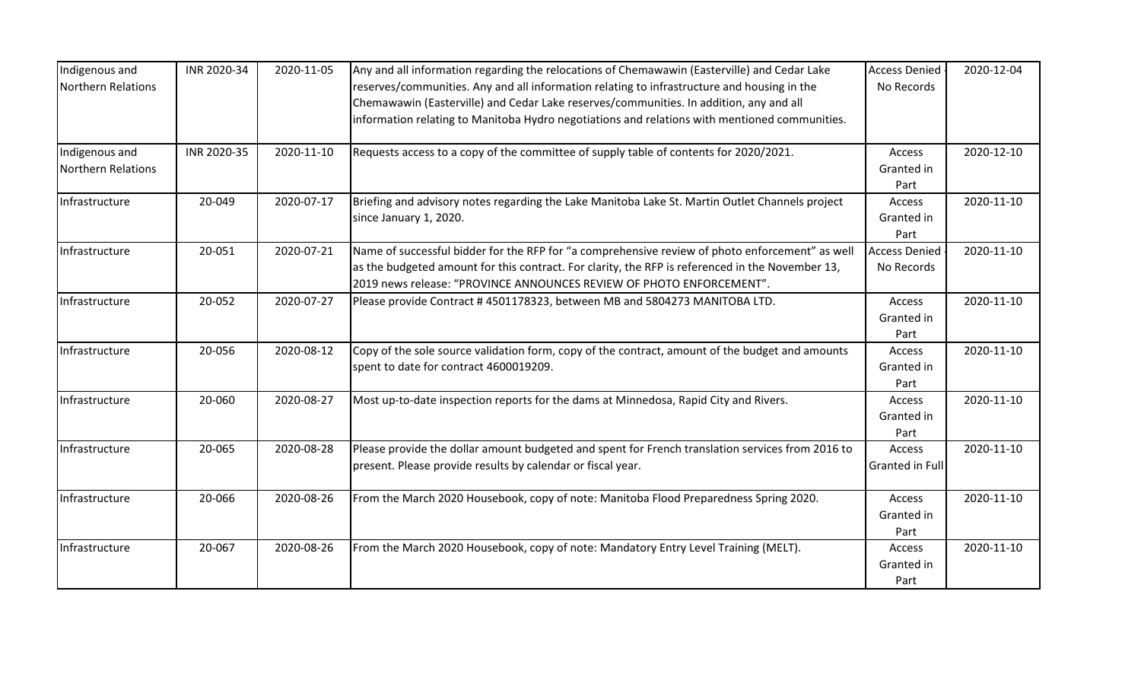| Indigenous and     | INR 2020-34 | 2020-11-05 | Any and all information regarding the relocations of Chemawawin (Easterville) and Cedar Lake     | <b>Access Denied</b> | 2020-12-04 |
|--------------------|-------------|------------|--------------------------------------------------------------------------------------------------|----------------------|------------|
| Northern Relations |             |            | reserves/communities. Any and all information relating to infrastructure and housing in the      | No Records           |            |
|                    |             |            | Chemawawin (Easterville) and Cedar Lake reserves/communities. In addition, any and all           |                      |            |
|                    |             |            | information relating to Manitoba Hydro negotiations and relations with mentioned communities.    |                      |            |
| Indigenous and     | INR 2020-35 | 2020-11-10 | Requests access to a copy of the committee of supply table of contents for 2020/2021.            | Access               | 2020-12-10 |
| Northern Relations |             |            |                                                                                                  | Granted in           |            |
|                    |             |            |                                                                                                  | Part                 |            |
| Infrastructure     | 20-049      | 2020-07-17 | Briefing and advisory notes regarding the Lake Manitoba Lake St. Martin Outlet Channels project  | Access               | 2020-11-10 |
|                    |             |            | since January 1, 2020.                                                                           | Granted in           |            |
|                    |             |            |                                                                                                  | Part                 |            |
| Infrastructure     | 20-051      | 2020-07-21 | Name of successful bidder for the RFP for "a comprehensive review of photo enforcement" as well  | <b>Access Denied</b> | 2020-11-10 |
|                    |             |            | as the budgeted amount for this contract. For clarity, the RFP is referenced in the November 13, | No Records           |            |
|                    |             |            | 2019 news release: "PROVINCE ANNOUNCES REVIEW OF PHOTO ENFORCEMENT".                             |                      |            |
| Infrastructure     | 20-052      | 2020-07-27 | Please provide Contract #4501178323, between MB and 5804273 MANITOBA LTD.                        | Access               | 2020-11-10 |
|                    |             |            |                                                                                                  | Granted in           |            |
|                    |             |            |                                                                                                  | Part                 |            |
| Infrastructure     | 20-056      | 2020-08-12 | Copy of the sole source validation form, copy of the contract, amount of the budget and amounts  | <b>Access</b>        | 2020-11-10 |
|                    |             |            | spent to date for contract 4600019209.                                                           | Granted in           |            |
|                    |             |            |                                                                                                  | Part                 |            |
| Infrastructure     | 20-060      | 2020-08-27 | Most up-to-date inspection reports for the dams at Minnedosa, Rapid City and Rivers.             | Access               | 2020-11-10 |
|                    |             |            |                                                                                                  | Granted in           |            |
|                    |             |            |                                                                                                  | Part                 |            |
| Infrastructure     | 20-065      | 2020-08-28 | Please provide the dollar amount budgeted and spent for French translation services from 2016 to | Access               | 2020-11-10 |
|                    |             |            | present. Please provide results by calendar or fiscal year.                                      | Granted in Full      |            |
| Infrastructure     | 20-066      | 2020-08-26 | From the March 2020 Housebook, copy of note: Manitoba Flood Preparedness Spring 2020.            | Access               | 2020-11-10 |
|                    |             |            |                                                                                                  | Granted in           |            |
|                    |             |            |                                                                                                  | Part                 |            |
| Infrastructure     | 20-067      | 2020-08-26 | From the March 2020 Housebook, copy of note: Mandatory Entry Level Training (MELT).              | Access               | 2020-11-10 |
|                    |             |            |                                                                                                  | Granted in           |            |
|                    |             |            |                                                                                                  | Part                 |            |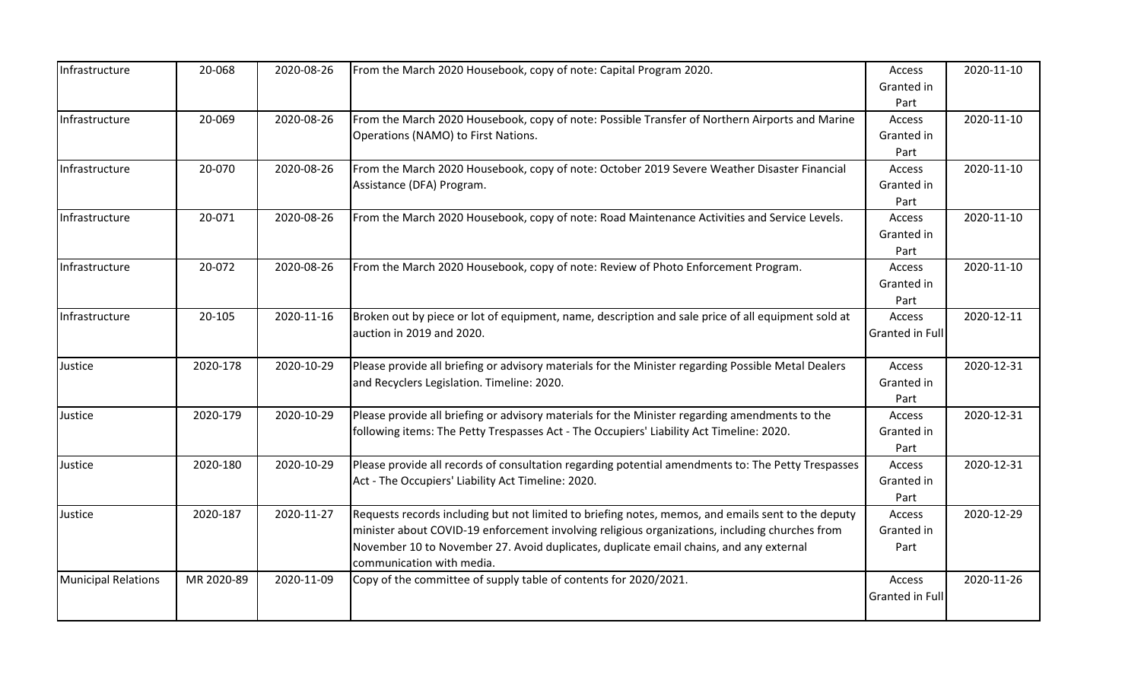| Infrastructure             | 20-068     | 2020-08-26 | From the March 2020 Housebook, copy of note: Capital Program 2020.                                  | Access          | 2020-11-10 |
|----------------------------|------------|------------|-----------------------------------------------------------------------------------------------------|-----------------|------------|
|                            |            |            |                                                                                                     | Granted in      |            |
|                            |            |            |                                                                                                     | Part            |            |
| Infrastructure             | 20-069     | 2020-08-26 | From the March 2020 Housebook, copy of note: Possible Transfer of Northern Airports and Marine      | Access          | 2020-11-10 |
|                            |            |            | Operations (NAMO) to First Nations.                                                                 | Granted in      |            |
|                            |            |            |                                                                                                     | Part            |            |
| Infrastructure             | 20-070     | 2020-08-26 | From the March 2020 Housebook, copy of note: October 2019 Severe Weather Disaster Financial         | Access          | 2020-11-10 |
|                            |            |            | Assistance (DFA) Program.                                                                           | Granted in      |            |
|                            |            |            |                                                                                                     | Part            |            |
| Infrastructure             | 20-071     | 2020-08-26 | From the March 2020 Housebook, copy of note: Road Maintenance Activities and Service Levels.        | Access          | 2020-11-10 |
|                            |            |            |                                                                                                     | Granted in      |            |
|                            |            |            |                                                                                                     | Part            |            |
| Infrastructure             | 20-072     | 2020-08-26 | From the March 2020 Housebook, copy of note: Review of Photo Enforcement Program.                   | Access          | 2020-11-10 |
|                            |            |            |                                                                                                     | Granted in      |            |
|                            |            |            |                                                                                                     | Part            |            |
| Infrastructure             | 20-105     | 2020-11-16 | Broken out by piece or lot of equipment, name, description and sale price of all equipment sold at  | Access          | 2020-12-11 |
|                            |            |            | auction in 2019 and 2020.                                                                           | Granted in Full |            |
|                            |            |            |                                                                                                     |                 |            |
| Justice                    | 2020-178   | 2020-10-29 | Please provide all briefing or advisory materials for the Minister regarding Possible Metal Dealers | <b>Access</b>   | 2020-12-31 |
|                            |            |            | and Recyclers Legislation. Timeline: 2020.                                                          | Granted in      |            |
|                            |            |            |                                                                                                     | Part            |            |
| Justice                    | 2020-179   | 2020-10-29 | Please provide all briefing or advisory materials for the Minister regarding amendments to the      | Access          | 2020-12-31 |
|                            |            |            | following items: The Petty Trespasses Act - The Occupiers' Liability Act Timeline: 2020.            | Granted in      |            |
|                            |            |            |                                                                                                     | Part            |            |
| Justice                    | 2020-180   | 2020-10-29 | Please provide all records of consultation regarding potential amendments to: The Petty Trespasses  | Access          | 2020-12-31 |
|                            |            |            | Act - The Occupiers' Liability Act Timeline: 2020.                                                  | Granted in      |            |
|                            |            |            |                                                                                                     | Part            |            |
| Justice                    | 2020-187   | 2020-11-27 | Requests records including but not limited to briefing notes, memos, and emails sent to the deputy  | Access          | 2020-12-29 |
|                            |            |            | minister about COVID-19 enforcement involving religious organizations, including churches from      | Granted in      |            |
|                            |            |            | November 10 to November 27. Avoid duplicates, duplicate email chains, and any external              | Part            |            |
|                            |            |            | communication with media.                                                                           |                 |            |
| <b>Municipal Relations</b> | MR 2020-89 | 2020-11-09 | Copy of the committee of supply table of contents for 2020/2021.                                    | Access          | 2020-11-26 |
|                            |            |            |                                                                                                     | Granted in Full |            |
|                            |            |            |                                                                                                     |                 |            |